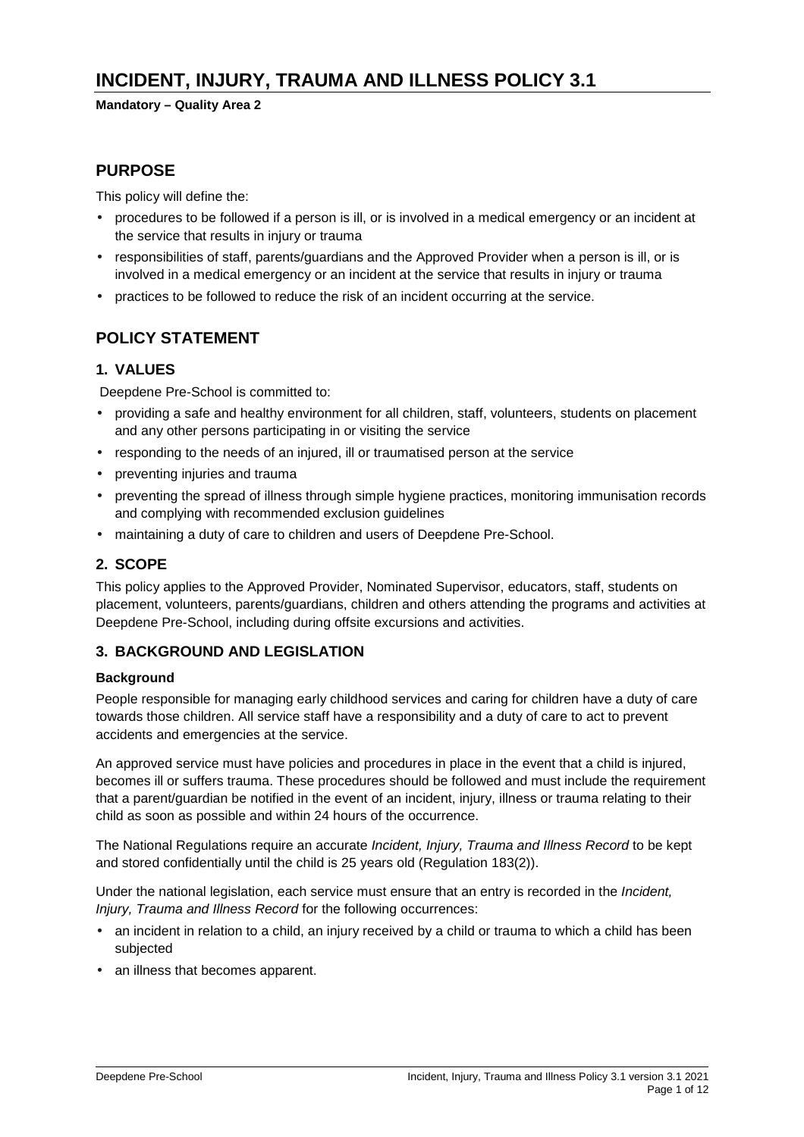# **INCIDENT, INJURY, TRAUMA AND ILLNESS POLICY 3.1**

### **Mandatory – Quality Area 2**

### **PURPOSE**

This policy will define the:

- procedures to be followed if a person is ill, or is involved in a medical emergency or an incident at the service that results in injury or trauma
- responsibilities of staff, parents/guardians and the Approved Provider when a person is ill, or is involved in a medical emergency or an incident at the service that results in injury or trauma
- practices to be followed to reduce the risk of an incident occurring at the service.

## **POLICY STATEMENT**

### **1. VALUES**

Deepdene Pre-School is committed to:

- providing a safe and healthy environment for all children, staff, volunteers, students on placement and any other persons participating in or visiting the service
- responding to the needs of an injured, ill or traumatised person at the service
- preventing injuries and trauma
- preventing the spread of illness through simple hygiene practices, monitoring immunisation records and complying with recommended exclusion guidelines
- maintaining a duty of care to children and users of Deepdene Pre-School.

### **2. SCOPE**

This policy applies to the Approved Provider, Nominated Supervisor, educators, staff, students on placement, volunteers, parents/guardians, children and others attending the programs and activities at Deepdene Pre-School, including during offsite excursions and activities.

### **3. BACKGROUND AND LEGISLATION**

#### **Background**

People responsible for managing early childhood services and caring for children have a duty of care towards those children. All service staff have a responsibility and a duty of care to act to prevent accidents and emergencies at the service.

An approved service must have policies and procedures in place in the event that a child is injured, becomes ill or suffers trauma. These procedures should be followed and must include the requirement that a parent/guardian be notified in the event of an incident, injury, illness or trauma relating to their child as soon as possible and within 24 hours of the occurrence.

The National Regulations require an accurate Incident, Injury, Trauma and Illness Record to be kept and stored confidentially until the child is 25 years old (Regulation 183(2)).

Under the national legislation, each service must ensure that an entry is recorded in the *Incident*, Injury, Trauma and Illness Record for the following occurrences:

- an incident in relation to a child, an injury received by a child or trauma to which a child has been subjected
- an illness that becomes apparent.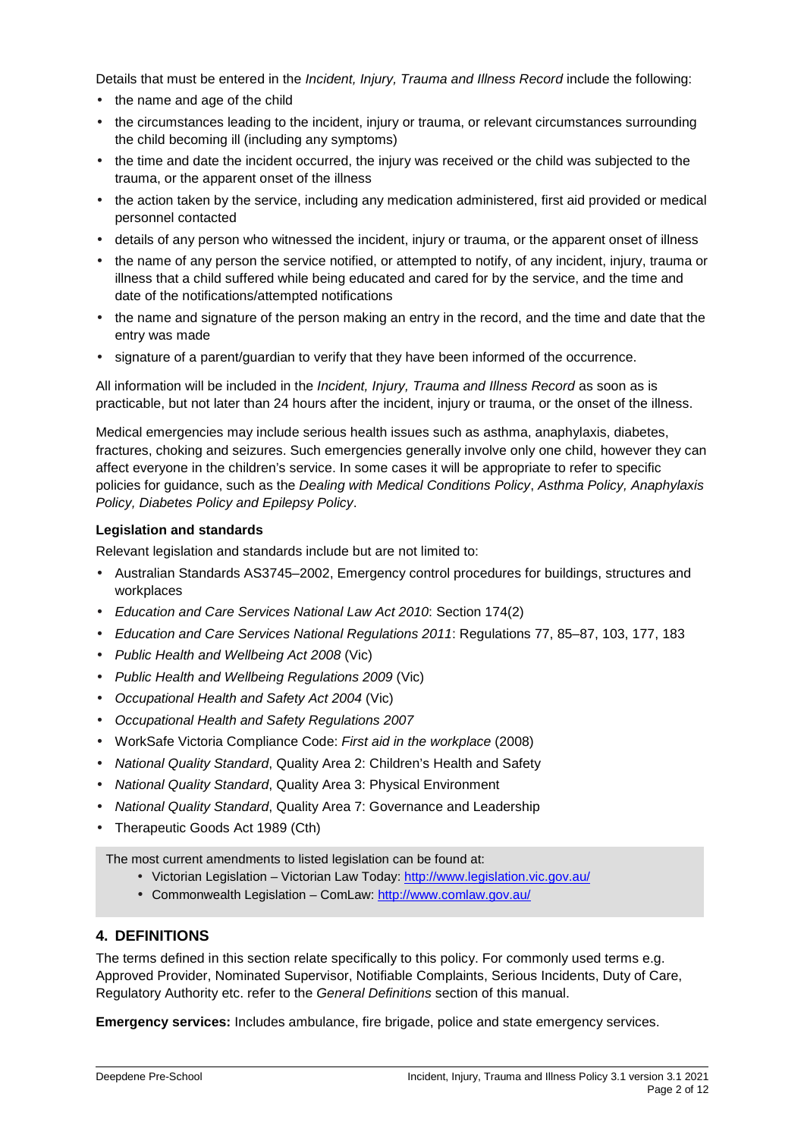Details that must be entered in the *Incident, Injury, Trauma and Illness Record* include the following:

- the name and age of the child
- the circumstances leading to the incident, injury or trauma, or relevant circumstances surrounding the child becoming ill (including any symptoms)
- the time and date the incident occurred, the injury was received or the child was subjected to the trauma, or the apparent onset of the illness
- the action taken by the service, including any medication administered, first aid provided or medical personnel contacted
- details of any person who witnessed the incident, injury or trauma, or the apparent onset of illness
- the name of any person the service notified, or attempted to notify, of any incident, injury, trauma or illness that a child suffered while being educated and cared for by the service, and the time and date of the notifications/attempted notifications
- the name and signature of the person making an entry in the record, and the time and date that the entry was made
- signature of a parent/guardian to verify that they have been informed of the occurrence.

All information will be included in the *Incident, Injury, Trauma and Illness Record* as soon as is practicable, but not later than 24 hours after the incident, injury or trauma, or the onset of the illness.

Medical emergencies may include serious health issues such as asthma, anaphylaxis, diabetes, fractures, choking and seizures. Such emergencies generally involve only one child, however they can affect everyone in the children's service. In some cases it will be appropriate to refer to specific policies for guidance, such as the Dealing with Medical Conditions Policy, Asthma Policy, Anaphylaxis Policy, Diabetes Policy and Epilepsy Policy.

#### **Legislation and standards**

Relevant legislation and standards include but are not limited to:

- Australian Standards AS3745–2002, Emergency control procedures for buildings, structures and workplaces
- Education and Care Services National Law Act 2010: Section 174(2)
- Education and Care Services National Regulations 2011: Regulations 77, 85–87, 103, 177, 183
- Public Health and Wellbeing Act 2008 (Vic)
- Public Health and Wellbeing Regulations 2009 (Vic)
- Occupational Health and Safety Act 2004 (Vic)
- Occupational Health and Safety Regulations 2007
- WorkSafe Victoria Compliance Code: First aid in the workplace (2008)
- National Quality Standard, Quality Area 2: Children's Health and Safety
- National Quality Standard, Quality Area 3: Physical Environment
- National Quality Standard, Quality Area 7: Governance and Leadership
- Therapeutic Goods Act 1989 (Cth)

The most current amendments to listed legislation can be found at:

- Victorian Legislation Victorian Law Today: http://www.legislation.vic.gov.au/
- Commonwealth Legislation ComLaw: http://www.comlaw.gov.au/

#### **4. DEFINITIONS**

The terms defined in this section relate specifically to this policy. For commonly used terms e.g. Approved Provider, Nominated Supervisor, Notifiable Complaints, Serious Incidents, Duty of Care, Regulatory Authority etc. refer to the General Definitions section of this manual.

**Emergency services:** Includes ambulance, fire brigade, police and state emergency services.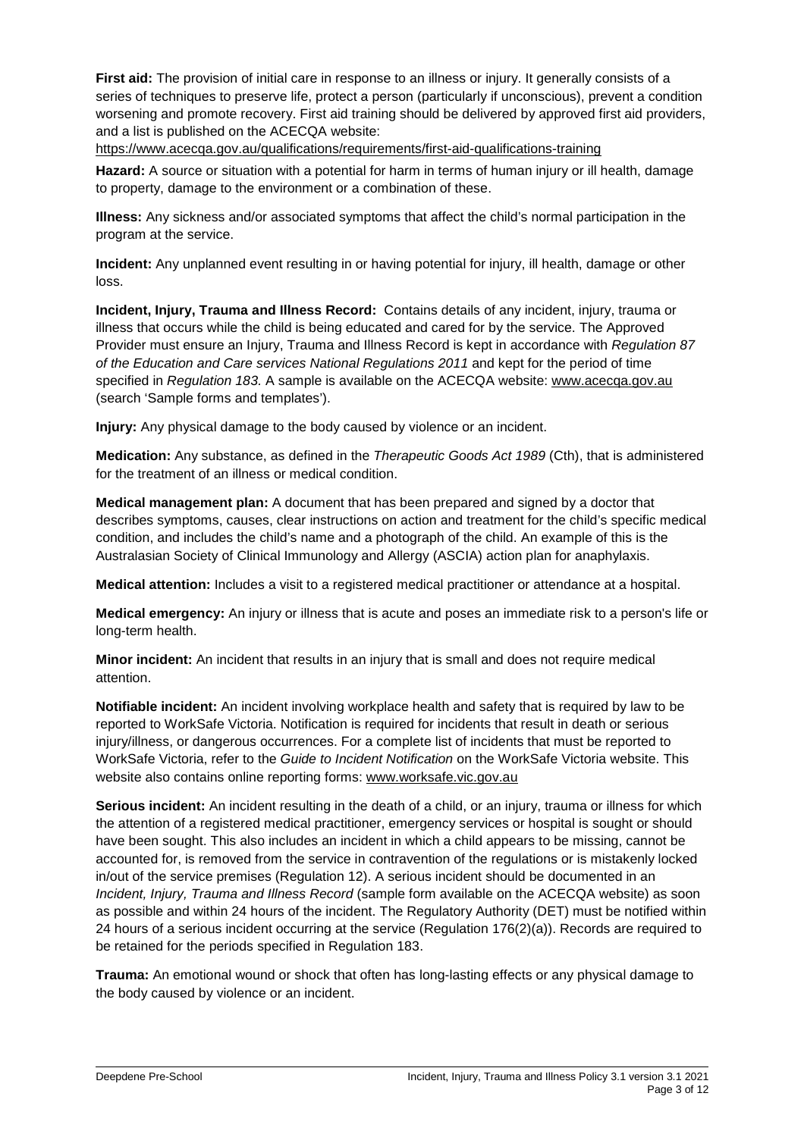**First aid:** The provision of initial care in response to an illness or injury. It generally consists of a series of techniques to preserve life, protect a person (particularly if unconscious), prevent a condition worsening and promote recovery. First aid training should be delivered by approved first aid providers, and a list is published on the ACECQA website:

https://www.acecqa.gov.au/qualifications/requirements/first-aid-qualifications-training

**Hazard:** A source or situation with a potential for harm in terms of human injury or ill health, damage to property, damage to the environment or a combination of these.

**Illness:** Any sickness and/or associated symptoms that affect the child's normal participation in the program at the service.

**Incident:** Any unplanned event resulting in or having potential for injury, ill health, damage or other loss.

**Incident, Injury, Trauma and Illness Record:** Contains details of any incident, injury, trauma or illness that occurs while the child is being educated and cared for by the service. The Approved Provider must ensure an Injury, Trauma and Illness Record is kept in accordance with Regulation 87 of the Education and Care services National Regulations 2011 and kept for the period of time specified in Regulation 183. A sample is available on the ACECQA website: www.acecga.gov.au (search 'Sample forms and templates').

**Injury:** Any physical damage to the body caused by violence or an incident.

**Medication:** Any substance, as defined in the Therapeutic Goods Act 1989 (Cth), that is administered for the treatment of an illness or medical condition.

**Medical management plan:** A document that has been prepared and signed by a doctor that describes symptoms, causes, clear instructions on action and treatment for the child's specific medical condition, and includes the child's name and a photograph of the child. An example of this is the Australasian Society of Clinical Immunology and Allergy (ASCIA) action plan for anaphylaxis.

**Medical attention:** Includes a visit to a registered medical practitioner or attendance at a hospital.

**Medical emergency:** An injury or illness that is acute and poses an immediate risk to a person's life or long-term health.

**Minor incident:** An incident that results in an injury that is small and does not require medical attention.

**Notifiable incident:** An incident involving workplace health and safety that is required by law to be reported to WorkSafe Victoria. Notification is required for incidents that result in death or serious injury/illness, or dangerous occurrences. For a complete list of incidents that must be reported to WorkSafe Victoria, refer to the Guide to Incident Notification on the WorkSafe Victoria website. This website also contains online reporting forms: www.worksafe.vic.gov.au

**Serious incident:** An incident resulting in the death of a child, or an injury, trauma or illness for which the attention of a registered medical practitioner, emergency services or hospital is sought or should have been sought. This also includes an incident in which a child appears to be missing, cannot be accounted for, is removed from the service in contravention of the regulations or is mistakenly locked in/out of the service premises (Regulation 12). A serious incident should be documented in an Incident, Injury, Trauma and Illness Record (sample form available on the ACECQA website) as soon as possible and within 24 hours of the incident. The Regulatory Authority (DET) must be notified within 24 hours of a serious incident occurring at the service (Regulation 176(2)(a)). Records are required to be retained for the periods specified in Regulation 183.

**Trauma:** An emotional wound or shock that often has long-lasting effects or any physical damage to the body caused by violence or an incident.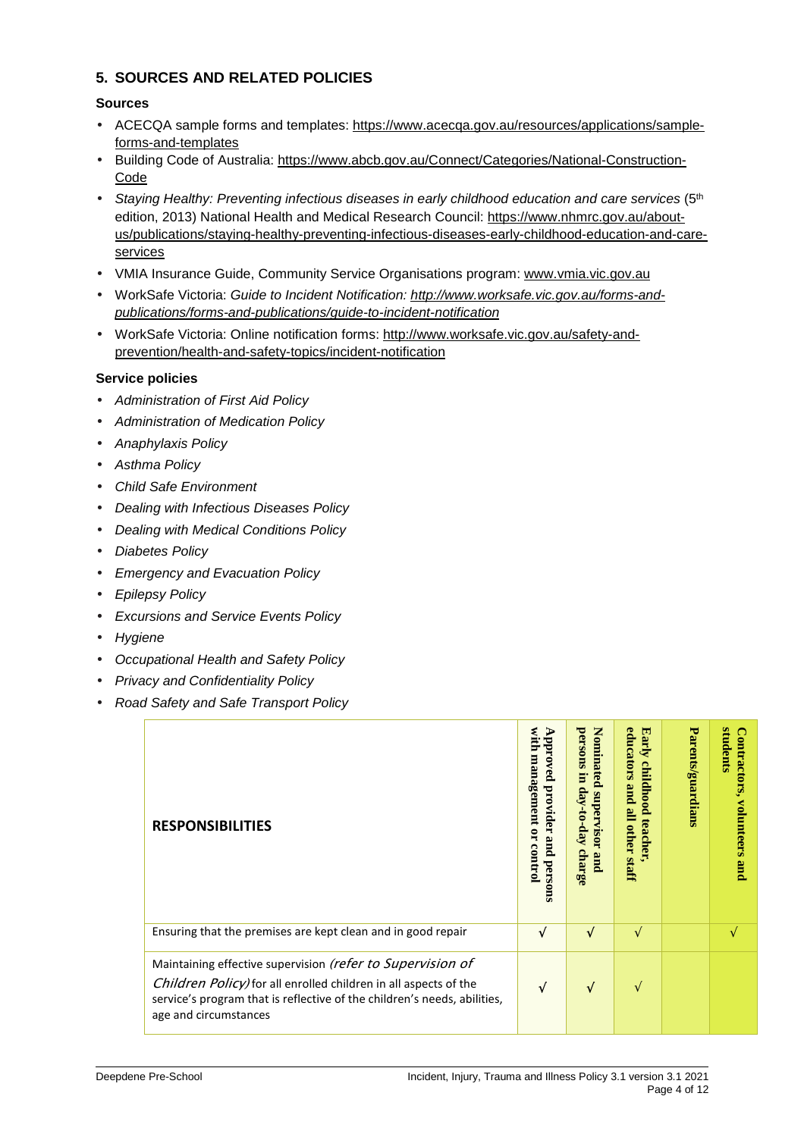## **5. SOURCES AND RELATED POLICIES**

#### **Sources**

- ACECQA sample forms and templates: https://www.acecqa.gov.au/resources/applications/sampleforms-and-templates
- Building Code of Australia: https://www.abcb.gov.au/Connect/Categories/National-Construction-Code
- Staying Healthy: Preventing infectious diseases in early childhood education and care services (5<sup>th</sup> edition, 2013) National Health and Medical Research Council: https://www.nhmrc.gov.au/aboutus/publications/staying-healthy-preventing-infectious-diseases-early-childhood-education-and-careservices
- VMIA Insurance Guide, Community Service Organisations program: www.vmia.vic.gov.au
- WorkSafe Victoria: Guide to Incident Notification: http://www.worksafe.vic.gov.au/forms-andpublications/forms-and-publications/guide-to-incident-notification
- WorkSafe Victoria: Online notification forms: http://www.worksafe.vic.gov.au/safety-andprevention/health-and-safety-topics/incident-notification

#### **Service policies**

- Administration of First Aid Policy
- Administration of Medication Policy
- Anaphylaxis Policy
- Asthma Policy
- Child Safe Environment
- Dealing with Infectious Diseases Policy
- Dealing with Medical Conditions Policy
- Diabetes Policy
- Emergency and Evacuation Policy
- Epilepsy Policy
- Excursions and Service Events Policy
- Hygiene
- Occupational Health and Safety Policy
- Privacy and Confidentiality Policy
- Road Safety and Safe Transport Policy

| <b>RESPONSIBILITIES</b>                                                                                                                                                                                                             | with<br>$_{\rm udd}$<br>management<br>ved<br>provider<br>$\overline{a}$<br>pure<br>control<br>persons | Nominated<br>persons<br>E<br>day-to-day<br>supervisor<br>charge<br>and | educators<br>Early<br>childhood<br>pure<br>$\mathbf{E}$<br>teacher<br>other<br><b>Staff</b> | Parents/guardians | œ<br>tudents<br>ontractors,<br>volunteers<br>pure |
|-------------------------------------------------------------------------------------------------------------------------------------------------------------------------------------------------------------------------------------|-------------------------------------------------------------------------------------------------------|------------------------------------------------------------------------|---------------------------------------------------------------------------------------------|-------------------|---------------------------------------------------|
| Ensuring that the premises are kept clean and in good repair                                                                                                                                                                        | √                                                                                                     | √                                                                      | $\sqrt{ }$                                                                                  |                   | $\mathbf{v}$                                      |
| Maintaining effective supervision (refer to Supervision of<br>Children Policy) for all enrolled children in all aspects of the<br>service's program that is reflective of the children's needs, abilities,<br>age and circumstances | V                                                                                                     | V                                                                      | V                                                                                           |                   |                                                   |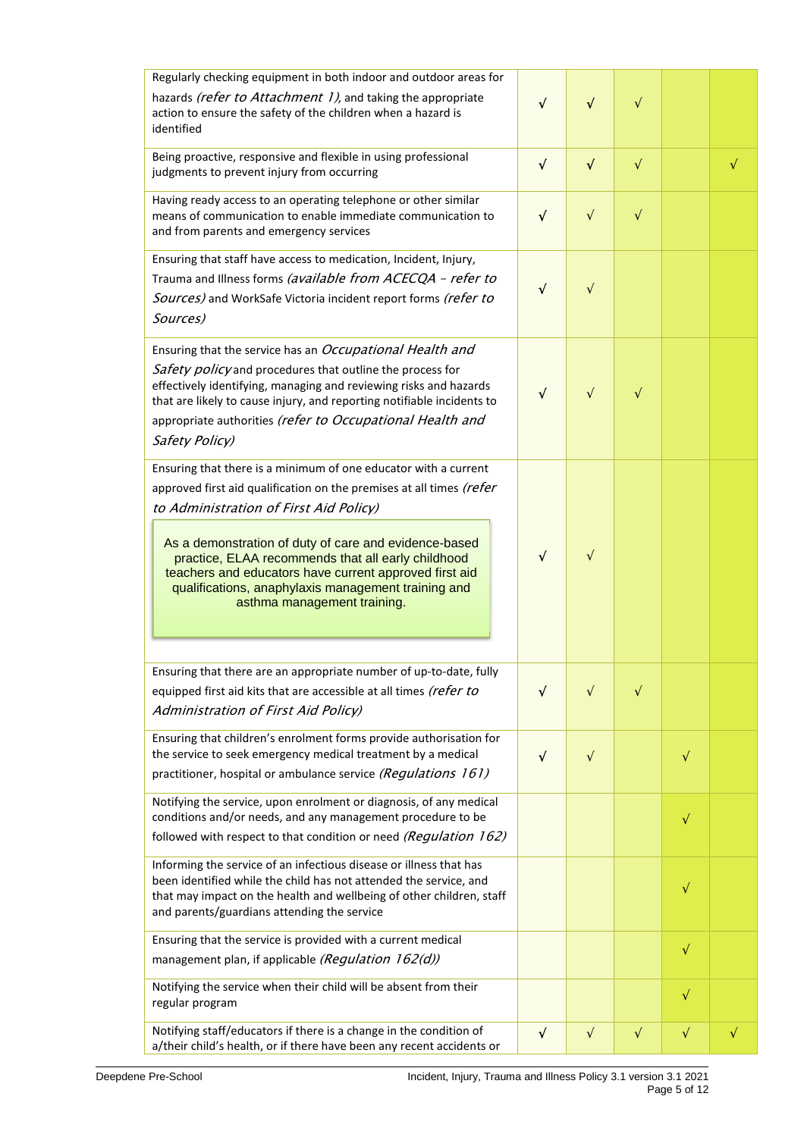| Regularly checking equipment in both indoor and outdoor areas for                                                                                                                                                                                                                                                                                                                                                                                |            |           |           |           |           |
|--------------------------------------------------------------------------------------------------------------------------------------------------------------------------------------------------------------------------------------------------------------------------------------------------------------------------------------------------------------------------------------------------------------------------------------------------|------------|-----------|-----------|-----------|-----------|
| hazards (refer to Attachment 1), and taking the appropriate<br>action to ensure the safety of the children when a hazard is<br>identified                                                                                                                                                                                                                                                                                                        |            | $\sqrt{}$ | $\sqrt{}$ |           |           |
| Being proactive, responsive and flexible in using professional<br>judgments to prevent injury from occurring                                                                                                                                                                                                                                                                                                                                     | $\sqrt{2}$ | $\sqrt{}$ | $\sqrt{}$ |           | $\sqrt{}$ |
| Having ready access to an operating telephone or other similar<br>means of communication to enable immediate communication to<br>and from parents and emergency services                                                                                                                                                                                                                                                                         | $\sqrt{ }$ | $\sqrt{}$ | $\sqrt{}$ |           |           |
| Ensuring that staff have access to medication, Incident, Injury,<br>Trauma and Illness forms (available from ACECQA - refer to<br>Sources) and WorkSafe Victoria incident report forms (refer to<br>Sources)                                                                                                                                                                                                                                     | N          | $\sqrt{}$ |           |           |           |
| Ensuring that the service has an Occupational Health and<br>Safety policy and procedures that outline the process for<br>effectively identifying, managing and reviewing risks and hazards<br>that are likely to cause injury, and reporting notifiable incidents to<br>appropriate authorities (refer to Occupational Health and<br>Safety Policy)                                                                                              | √          | $\sqrt{}$ | $\sqrt{}$ |           |           |
| Ensuring that there is a minimum of one educator with a current<br>approved first aid qualification on the premises at all times (refer<br>to Administration of First Aid Policy)<br>As a demonstration of duty of care and evidence-based<br>practice, ELAA recommends that all early childhood<br>teachers and educators have current approved first aid<br>qualifications, anaphylaxis management training and<br>asthma management training. | $\sqrt{ }$ | $\sqrt{}$ |           |           |           |
| Ensuring that there are an appropriate number of up-to-date, fully<br>equipped first aid kits that are accessible at all times (refer to<br>Administration of First Aid Policy)                                                                                                                                                                                                                                                                  | $\sqrt{}$  | $\sqrt{}$ | $\sqrt{}$ |           |           |
| Ensuring that children's enrolment forms provide authorisation for<br>the service to seek emergency medical treatment by a medical<br>practitioner, hospital or ambulance service (Regulations 161)                                                                                                                                                                                                                                              | $\sqrt{ }$ | $\sqrt{}$ |           | $\sqrt{}$ |           |
| Notifying the service, upon enrolment or diagnosis, of any medical<br>conditions and/or needs, and any management procedure to be<br>followed with respect to that condition or need (Regulation 162)                                                                                                                                                                                                                                            |            |           |           | $\sqrt{}$ |           |
| Informing the service of an infectious disease or illness that has<br>been identified while the child has not attended the service, and<br>that may impact on the health and wellbeing of other children, staff<br>and parents/guardians attending the service                                                                                                                                                                                   |            |           |           | $\sqrt{}$ |           |
| Ensuring that the service is provided with a current medical<br>management plan, if applicable (Regulation 162(d))                                                                                                                                                                                                                                                                                                                               |            |           |           | $\sqrt{}$ |           |
| Notifying the service when their child will be absent from their<br>regular program                                                                                                                                                                                                                                                                                                                                                              |            |           |           | $\sqrt{}$ |           |
| Notifying staff/educators if there is a change in the condition of<br>a/their child's health, or if there have been any recent accidents or                                                                                                                                                                                                                                                                                                      | $\sqrt{ }$ | $\sqrt{}$ | $\sqrt{}$ | $\sqrt{}$ | $\sqrt{}$ |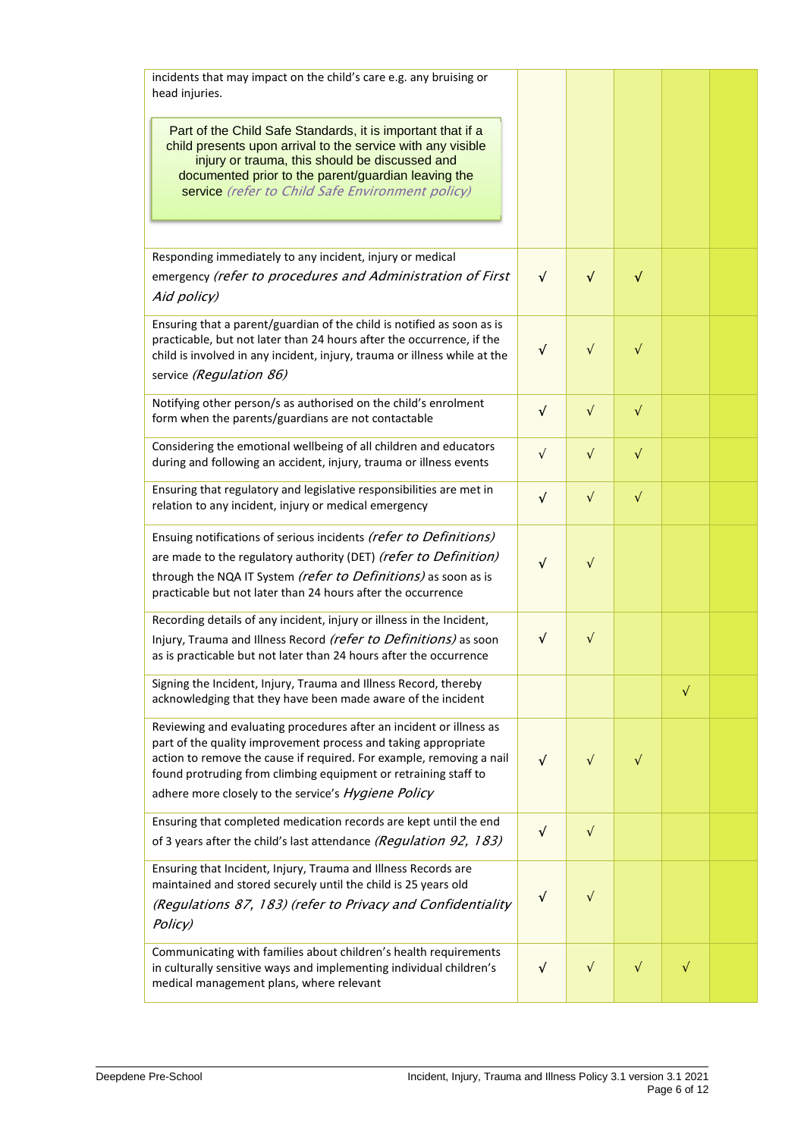| incidents that may impact on the child's care e.g. any bruising or<br>head injuries.                                                                                                                                                                                                                                                    |            |            |           |           |  |
|-----------------------------------------------------------------------------------------------------------------------------------------------------------------------------------------------------------------------------------------------------------------------------------------------------------------------------------------|------------|------------|-----------|-----------|--|
| Part of the Child Safe Standards, it is important that if a<br>child presents upon arrival to the service with any visible<br>injury or trauma, this should be discussed and<br>documented prior to the parent/guardian leaving the<br>service (refer to Child Safe Environment policy)                                                 |            |            |           |           |  |
| Responding immediately to any incident, injury or medical                                                                                                                                                                                                                                                                               |            |            |           |           |  |
| emergency (refer to procedures and Administration of First<br>Aid policy)                                                                                                                                                                                                                                                               | $\sqrt{2}$ | $\sqrt{ }$ | $\sqrt{}$ |           |  |
| Ensuring that a parent/guardian of the child is notified as soon as is<br>practicable, but not later than 24 hours after the occurrence, if the<br>child is involved in any incident, injury, trauma or illness while at the<br>service (Regulation 86)                                                                                 | $\sqrt{2}$ | $\sqrt{}$  | $\sqrt{}$ |           |  |
| Notifying other person/s as authorised on the child's enrolment<br>form when the parents/guardians are not contactable                                                                                                                                                                                                                  | $\sqrt{ }$ | $\sqrt{}$  | $\sqrt{}$ |           |  |
| Considering the emotional wellbeing of all children and educators<br>during and following an accident, injury, trauma or illness events                                                                                                                                                                                                 | $\sqrt{ }$ | $\sqrt{}$  | $\sqrt{}$ |           |  |
| Ensuring that regulatory and legislative responsibilities are met in<br>relation to any incident, injury or medical emergency                                                                                                                                                                                                           | $\sqrt{ }$ | $\sqrt{}$  | $\sqrt{}$ |           |  |
| Ensuing notifications of serious incidents (refer to Definitions)<br>are made to the regulatory authority (DET) (refer to Definition)<br>through the NQA IT System (refer to Definitions) as soon as is<br>practicable but not later than 24 hours after the occurrence                                                                 | √          | V          |           |           |  |
| Recording details of any incident, injury or illness in the Incident,<br>Injury, Trauma and Illness Record (refer to Definitions) as soon<br>as is practicable but not later than 24 hours after the occurrence                                                                                                                         | √          | $\sqrt{}$  |           |           |  |
| Signing the Incident, Injury, Trauma and Illness Record, thereby<br>acknowledging that they have been made aware of the incident                                                                                                                                                                                                        |            |            |           | $\sqrt{}$ |  |
| Reviewing and evaluating procedures after an incident or illness as<br>part of the quality improvement process and taking appropriate<br>action to remove the cause if required. For example, removing a nail<br>found protruding from climbing equipment or retraining staff to<br>adhere more closely to the service's Hygiene Policy | $\sqrt{ }$ | $\sqrt{}$  | $\sqrt{}$ |           |  |
| Ensuring that completed medication records are kept until the end<br>of 3 years after the child's last attendance (Regulation 92, 183)                                                                                                                                                                                                  | $\sqrt{}$  | $\sqrt{}$  |           |           |  |
| Ensuring that Incident, Injury, Trauma and Illness Records are<br>maintained and stored securely until the child is 25 years old<br>(Regulations 87, 183) (refer to Privacy and Confidentiality<br>Policy)                                                                                                                              | $\sqrt{ }$ | $\sqrt{}$  |           |           |  |
| Communicating with families about children's health requirements<br>in culturally sensitive ways and implementing individual children's<br>medical management plans, where relevant                                                                                                                                                     | $\sqrt{ }$ | $\sqrt{}$  | $\sqrt{}$ | $\sqrt{}$ |  |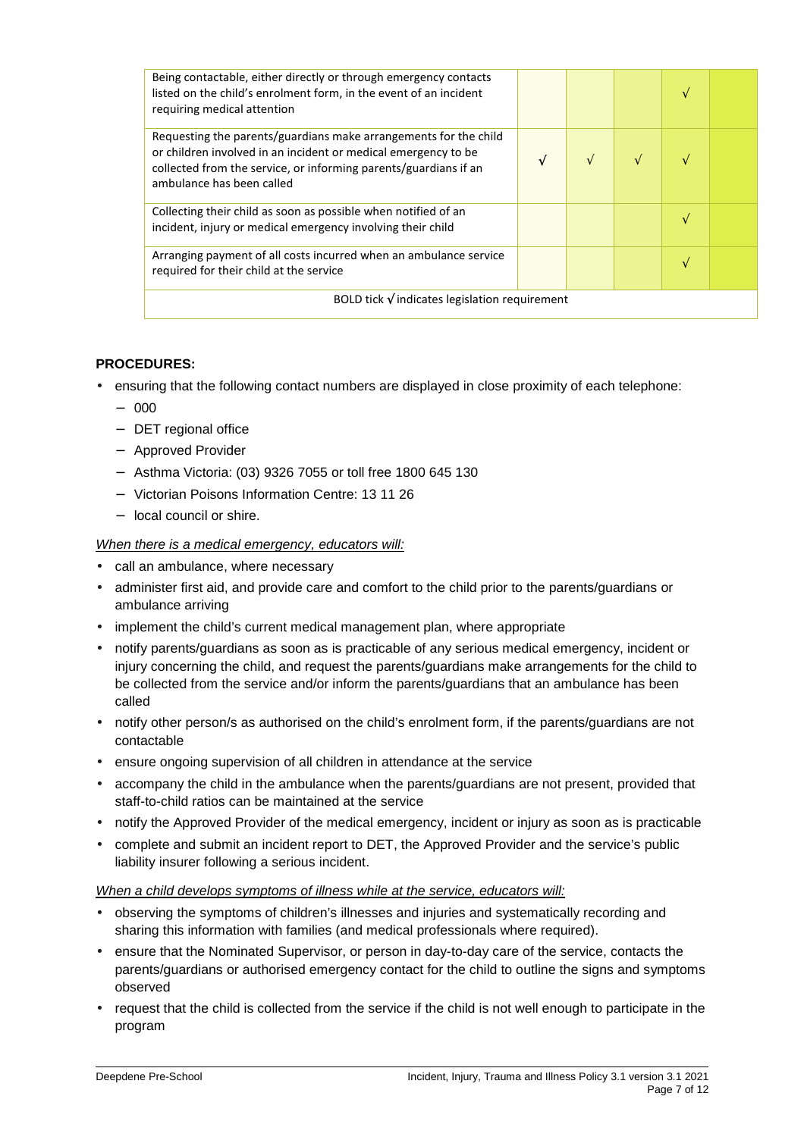| Being contactable, either directly or through emergency contacts<br>listed on the child's enrolment form, in the event of an incident<br>requiring medical attention                                                                |   |   |  |  |  |
|-------------------------------------------------------------------------------------------------------------------------------------------------------------------------------------------------------------------------------------|---|---|--|--|--|
| Requesting the parents/guardians make arrangements for the child<br>or children involved in an incident or medical emergency to be<br>collected from the service, or informing parents/guardians if an<br>ambulance has been called | N | N |  |  |  |
| Collecting their child as soon as possible when notified of an<br>incident, injury or medical emergency involving their child                                                                                                       |   |   |  |  |  |
| Arranging payment of all costs incurred when an ambulance service<br>required for their child at the service                                                                                                                        |   |   |  |  |  |
| BOLD tick $\sqrt{}$ indicates legislation requirement                                                                                                                                                                               |   |   |  |  |  |

#### **PROCEDURES:**

- ensuring that the following contact numbers are displayed in close proximity of each telephone:
	- − 000
	- − DET regional office
	- − Approved Provider
	- − Asthma Victoria: (03) 9326 7055 or toll free 1800 645 130
	- − Victorian Poisons Information Centre: 13 11 26
	- − local council or shire.

#### When there is a medical emergency, educators will:

- call an ambulance, where necessary
- administer first aid, and provide care and comfort to the child prior to the parents/guardians or ambulance arriving
- implement the child's current medical management plan, where appropriate
- notify parents/guardians as soon as is practicable of any serious medical emergency, incident or injury concerning the child, and request the parents/guardians make arrangements for the child to be collected from the service and/or inform the parents/guardians that an ambulance has been called
- notify other person/s as authorised on the child's enrolment form, if the parents/guardians are not contactable
- ensure ongoing supervision of all children in attendance at the service
- accompany the child in the ambulance when the parents/guardians are not present, provided that staff-to-child ratios can be maintained at the service
- notify the Approved Provider of the medical emergency, incident or injury as soon as is practicable
- complete and submit an incident report to DET, the Approved Provider and the service's public liability insurer following a serious incident.

#### When a child develops symptoms of illness while at the service, educators will:

- observing the symptoms of children's illnesses and injuries and systematically recording and sharing this information with families (and medical professionals where required).
- ensure that the Nominated Supervisor, or person in day-to-day care of the service, contacts the parents/guardians or authorised emergency contact for the child to outline the signs and symptoms observed
- request that the child is collected from the service if the child is not well enough to participate in the program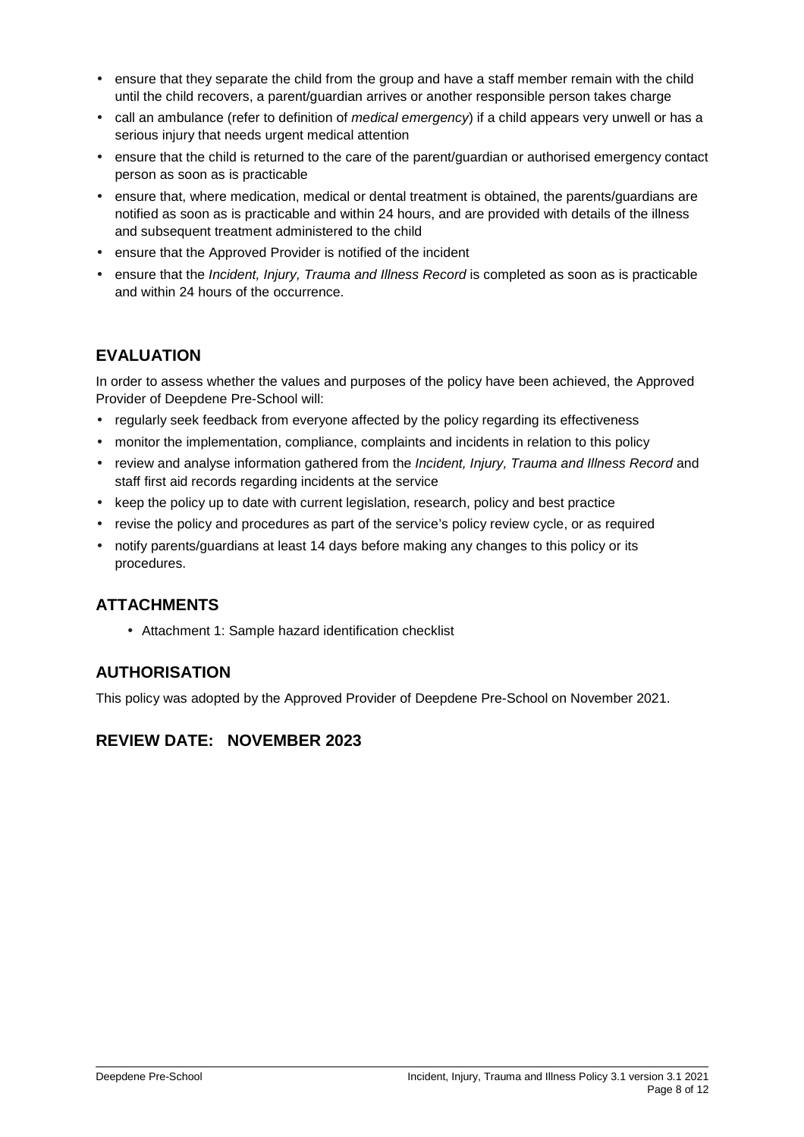- ensure that they separate the child from the group and have a staff member remain with the child until the child recovers, a parent/guardian arrives or another responsible person takes charge
- call an ambulance (refer to definition of *medical emergency*) if a child appears very unwell or has a serious injury that needs urgent medical attention
- ensure that the child is returned to the care of the parent/guardian or authorised emergency contact person as soon as is practicable
- ensure that, where medication, medical or dental treatment is obtained, the parents/guardians are notified as soon as is practicable and within 24 hours, and are provided with details of the illness and subsequent treatment administered to the child
- ensure that the Approved Provider is notified of the incident
- ensure that the *Incident, Injury, Trauma and Illness Record* is completed as soon as is practicable and within 24 hours of the occurrence.

## **EVALUATION**

In order to assess whether the values and purposes of the policy have been achieved, the Approved Provider of Deepdene Pre-School will:

- regularly seek feedback from everyone affected by the policy regarding its effectiveness
- monitor the implementation, compliance, complaints and incidents in relation to this policy
- review and analyse information gathered from the Incident, Injury, Trauma and Illness Record and staff first aid records regarding incidents at the service
- keep the policy up to date with current legislation, research, policy and best practice
- revise the policy and procedures as part of the service's policy review cycle, or as required
- notify parents/guardians at least 14 days before making any changes to this policy or its procedures.

## **ATTACHMENTS**

• Attachment 1: Sample hazard identification checklist

## **AUTHORISATION**

This policy was adopted by the Approved Provider of Deepdene Pre-School on November 2021.

## **REVIEW DATE: NOVEMBER 2023**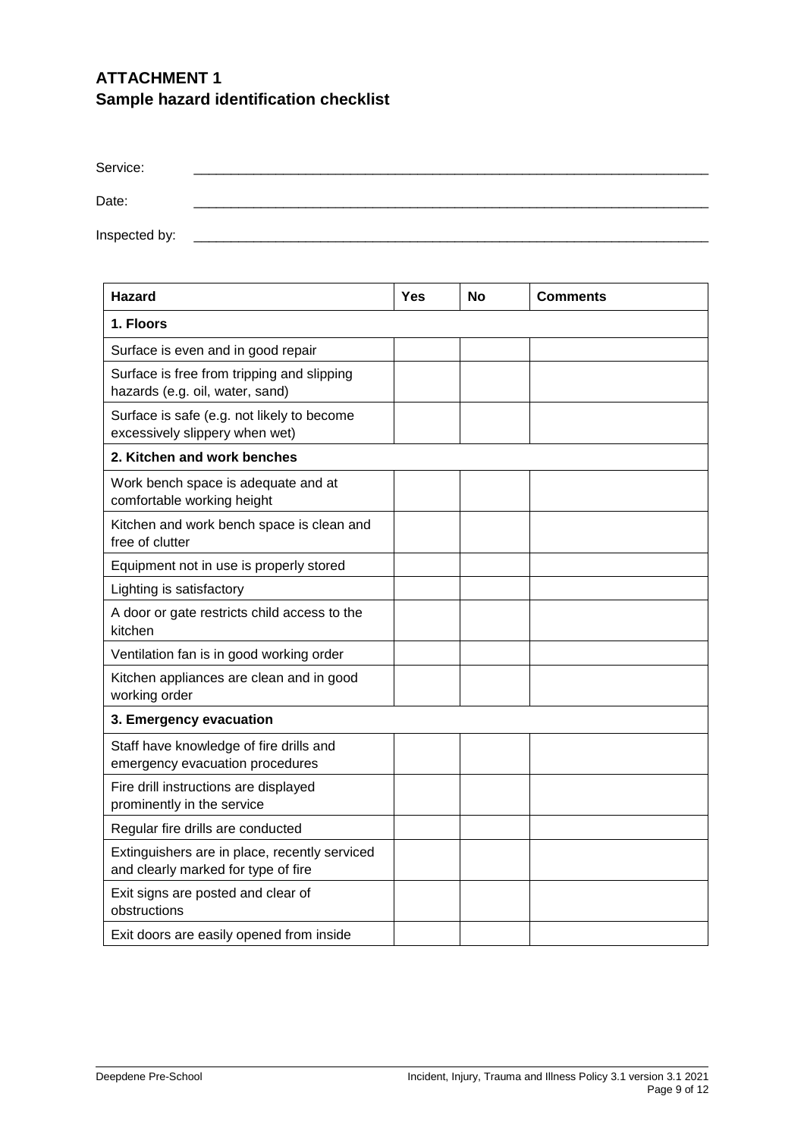# **ATTACHMENT 1 Sample hazard identification checklist**

| Service:      |  |
|---------------|--|
| Date:         |  |
| Inspected by: |  |

| <b>Hazard</b>                                                                        | Yes | No | <b>Comments</b> |
|--------------------------------------------------------------------------------------|-----|----|-----------------|
| 1. Floors                                                                            |     |    |                 |
| Surface is even and in good repair                                                   |     |    |                 |
| Surface is free from tripping and slipping<br>hazards (e.g. oil, water, sand)        |     |    |                 |
| Surface is safe (e.g. not likely to become<br>excessively slippery when wet)         |     |    |                 |
| 2. Kitchen and work benches                                                          |     |    |                 |
| Work bench space is adequate and at<br>comfortable working height                    |     |    |                 |
| Kitchen and work bench space is clean and<br>free of clutter                         |     |    |                 |
| Equipment not in use is properly stored                                              |     |    |                 |
| Lighting is satisfactory                                                             |     |    |                 |
| A door or gate restricts child access to the<br>kitchen                              |     |    |                 |
| Ventilation fan is in good working order                                             |     |    |                 |
| Kitchen appliances are clean and in good<br>working order                            |     |    |                 |
| 3. Emergency evacuation                                                              |     |    |                 |
| Staff have knowledge of fire drills and<br>emergency evacuation procedures           |     |    |                 |
| Fire drill instructions are displayed<br>prominently in the service                  |     |    |                 |
| Regular fire drills are conducted                                                    |     |    |                 |
| Extinguishers are in place, recently serviced<br>and clearly marked for type of fire |     |    |                 |
| Exit signs are posted and clear of<br>obstructions                                   |     |    |                 |
| Exit doors are easily opened from inside                                             |     |    |                 |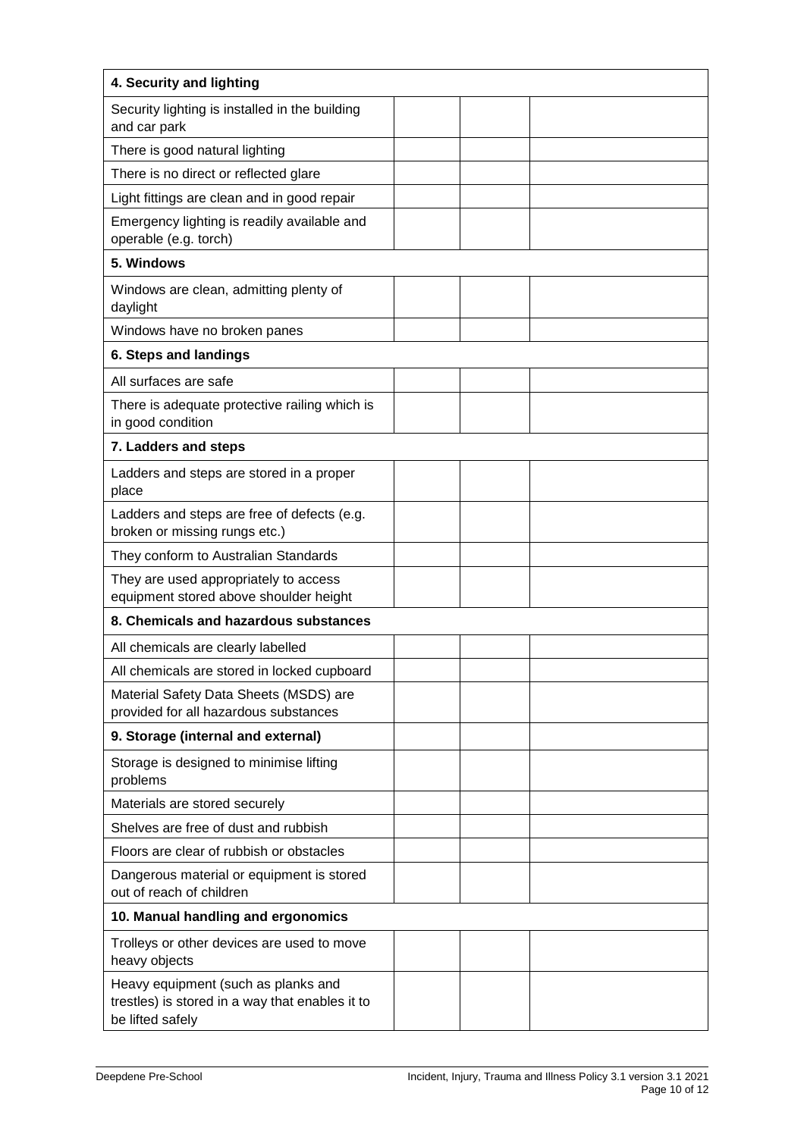| 4. Security and lighting                                                                                   |  |  |
|------------------------------------------------------------------------------------------------------------|--|--|
| Security lighting is installed in the building<br>and car park                                             |  |  |
| There is good natural lighting                                                                             |  |  |
| There is no direct or reflected glare                                                                      |  |  |
| Light fittings are clean and in good repair                                                                |  |  |
| Emergency lighting is readily available and<br>operable (e.g. torch)                                       |  |  |
| 5. Windows                                                                                                 |  |  |
| Windows are clean, admitting plenty of<br>daylight                                                         |  |  |
| Windows have no broken panes                                                                               |  |  |
| 6. Steps and landings                                                                                      |  |  |
| All surfaces are safe                                                                                      |  |  |
| There is adequate protective railing which is<br>in good condition                                         |  |  |
| 7. Ladders and steps                                                                                       |  |  |
| Ladders and steps are stored in a proper<br>place                                                          |  |  |
| Ladders and steps are free of defects (e.g.<br>broken or missing rungs etc.)                               |  |  |
| They conform to Australian Standards                                                                       |  |  |
| They are used appropriately to access<br>equipment stored above shoulder height                            |  |  |
| 8. Chemicals and hazardous substances                                                                      |  |  |
| All chemicals are clearly labelled                                                                         |  |  |
| All chemicals are stored in locked cupboard                                                                |  |  |
| Material Safety Data Sheets (MSDS) are<br>provided for all hazardous substances                            |  |  |
| 9. Storage (internal and external)                                                                         |  |  |
| Storage is designed to minimise lifting<br>problems                                                        |  |  |
| Materials are stored securely                                                                              |  |  |
| Shelves are free of dust and rubbish                                                                       |  |  |
| Floors are clear of rubbish or obstacles                                                                   |  |  |
| Dangerous material or equipment is stored<br>out of reach of children                                      |  |  |
| 10. Manual handling and ergonomics                                                                         |  |  |
| Trolleys or other devices are used to move<br>heavy objects                                                |  |  |
| Heavy equipment (such as planks and<br>trestles) is stored in a way that enables it to<br>be lifted safely |  |  |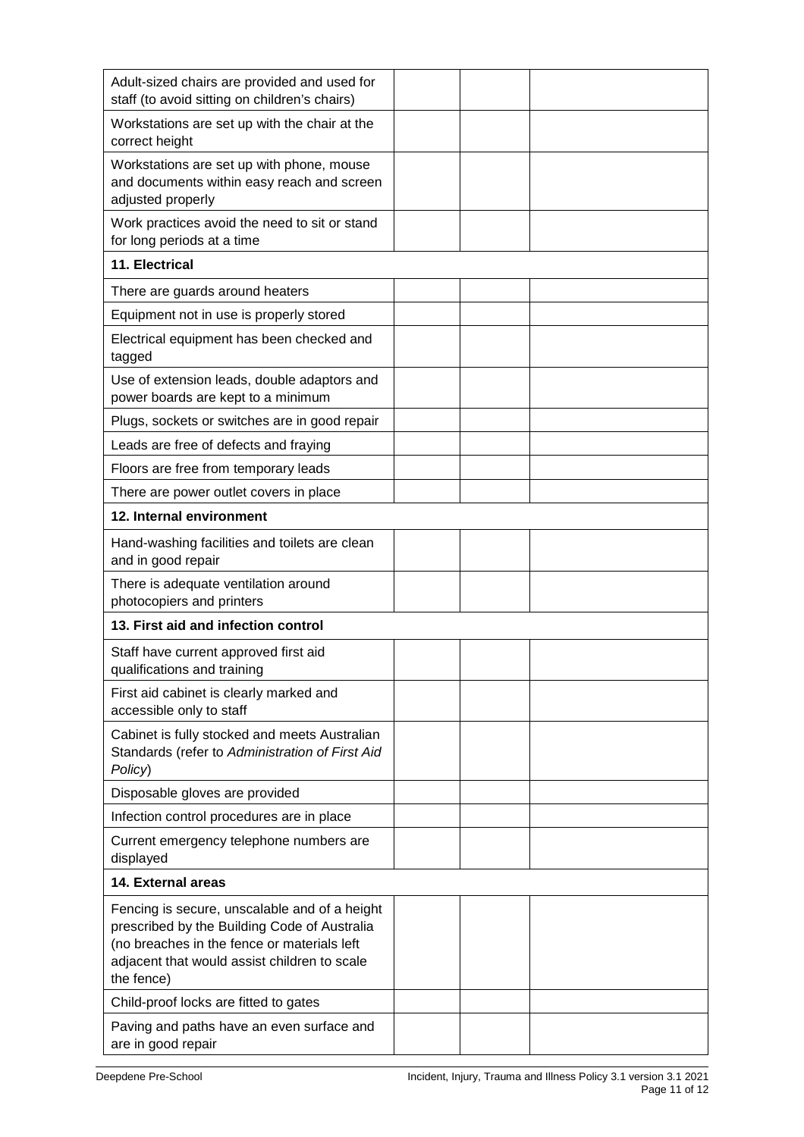| Adult-sized chairs are provided and used for<br>staff (to avoid sitting on children's chairs)                                                                                                              |  |  |
|------------------------------------------------------------------------------------------------------------------------------------------------------------------------------------------------------------|--|--|
| Workstations are set up with the chair at the<br>correct height                                                                                                                                            |  |  |
| Workstations are set up with phone, mouse<br>and documents within easy reach and screen<br>adjusted properly                                                                                               |  |  |
| Work practices avoid the need to sit or stand<br>for long periods at a time                                                                                                                                |  |  |
| 11. Electrical                                                                                                                                                                                             |  |  |
| There are guards around heaters                                                                                                                                                                            |  |  |
| Equipment not in use is properly stored                                                                                                                                                                    |  |  |
| Electrical equipment has been checked and<br>tagged                                                                                                                                                        |  |  |
| Use of extension leads, double adaptors and<br>power boards are kept to a minimum                                                                                                                          |  |  |
| Plugs, sockets or switches are in good repair                                                                                                                                                              |  |  |
| Leads are free of defects and fraying                                                                                                                                                                      |  |  |
| Floors are free from temporary leads                                                                                                                                                                       |  |  |
| There are power outlet covers in place                                                                                                                                                                     |  |  |
| 12. Internal environment                                                                                                                                                                                   |  |  |
| Hand-washing facilities and toilets are clean<br>and in good repair                                                                                                                                        |  |  |
| There is adequate ventilation around<br>photocopiers and printers                                                                                                                                          |  |  |
| 13. First aid and infection control                                                                                                                                                                        |  |  |
| Staff have current approved first aid<br>qualifications and training                                                                                                                                       |  |  |
| First aid cabinet is clearly marked and<br>accessible only to staff                                                                                                                                        |  |  |
| Cabinet is fully stocked and meets Australian<br>Standards (refer to Administration of First Aid<br>Policy)                                                                                                |  |  |
| Disposable gloves are provided                                                                                                                                                                             |  |  |
| Infection control procedures are in place                                                                                                                                                                  |  |  |
| Current emergency telephone numbers are<br>displayed                                                                                                                                                       |  |  |
| 14. External areas                                                                                                                                                                                         |  |  |
| Fencing is secure, unscalable and of a height<br>prescribed by the Building Code of Australia<br>(no breaches in the fence or materials left<br>adjacent that would assist children to scale<br>the fence) |  |  |
| Child-proof locks are fitted to gates                                                                                                                                                                      |  |  |
| Paving and paths have an even surface and<br>are in good repair                                                                                                                                            |  |  |